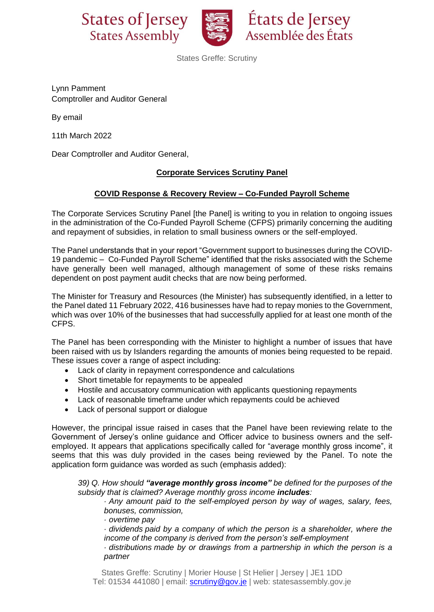



États de Jersey Assemblée des États

States Greffe: Scrutiny

Lynn Pamment Comptroller and Auditor General

By email

11th March 2022

Dear Comptroller and Auditor General,

## **Corporate Services Scrutiny Panel**

## **COVID Response & Recovery Review – Co-Funded Payroll Scheme**

The Corporate Services Scrutiny Panel [the Panel] is writing to you in relation to ongoing issues in the administration of the Co-Funded Payroll Scheme (CFPS) primarily concerning the auditing and repayment of subsidies, in relation to small business owners or the self-employed.

The Panel understands that in your report "Government support to businesses during the COVID-19 pandemic – Co-Funded Payroll Scheme" identified that the risks associated with the Scheme have generally been well managed, although management of some of these risks remains dependent on post payment audit checks that are now being performed.

The Minister for Treasury and Resources (the Minister) has subsequently identified, in a letter to the Panel dated 11 February 2022, 416 businesses have had to repay monies to the Government, which was over 10% of the businesses that had successfully applied for at least one month of the CFPS.

The Panel has been corresponding with the Minister to highlight a number of issues that have been raised with us by Islanders regarding the amounts of monies being requested to be repaid. These issues cover a range of aspect including:

- Lack of clarity in repayment correspondence and calculations
- Short timetable for repayments to be appealed
- Hostile and accusatory communication with applicants questioning repayments
- Lack of reasonable timeframe under which repayments could be achieved
- Lack of personal support or dialogue

However, the principal issue raised in cases that the Panel have been reviewing relate to the Government of Jersey's online guidance and Officer advice to business owners and the selfemployed. It appears that applications specifically called for "average monthly gross income", it seems that this was duly provided in the cases being reviewed by the Panel. To note the application form guidance was worded as such (emphasis added):

*39) Q. How should "average monthly gross income" be defined for the purposes of the subsidy that is claimed? Average monthly gross income includes:*

*· Any amount paid to the self-employed person by way of wages, salary, fees, bonuses, commission,*

*· overtime pay*

*· dividends paid by a company of which the person is a shareholder, where the income of the company is derived from the person's self-employment*

*· distributions made by or drawings from a partnership in which the person is a partner*

States Greffe: Scrutiny | Morier House | St Helier | Jersey | JE1 1DD Tel: 01534 441080 | email: **scrutiny@gov.je** | web: statesassembly.gov.je